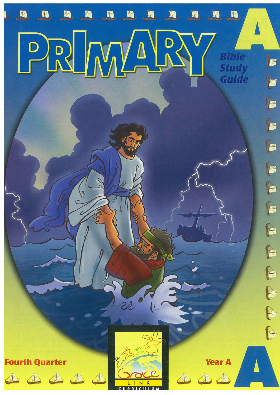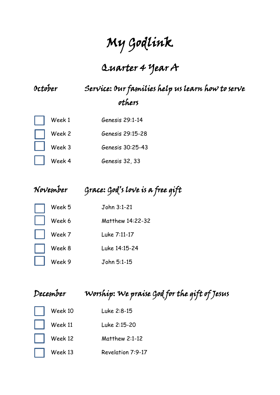# My Godlink

# Quarter 4 Year A

# October Service: Our families help us learn how to serve others

|     | $\parallel$ $\parallel$ Week 1 | Genesis 29:1-14  |
|-----|--------------------------------|------------------|
|     | $\parallel$ $\parallel$ Week 2 | Genesis 29:15-28 |
| i s | Week 3                         | Genesis 30:25-43 |
|     | $\vert$ $\vert$ Week 4         | Genesis 32, 33   |

## November Grace: God's love is a free gift

| Week 5 | John 3:1-21      |
|--------|------------------|
| Week 6 | Matthew 14:22-32 |
| Week 7 | Luke 7:11-17     |
| Week 8 | Luke 14:15-24    |
| Week 9 | John 5:1-15      |

| December |
|----------|
|----------|

# Worship: We praise God for the gift of Jesus

| Week 10 | Luke 2:8-15       |
|---------|-------------------|
| Week 11 | Luke 2:15-20      |
| Week 12 | Matthew $2:1-12$  |
| Week 13 | Revelation 7:9-17 |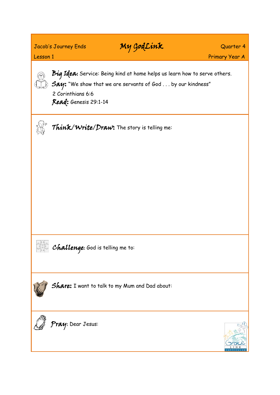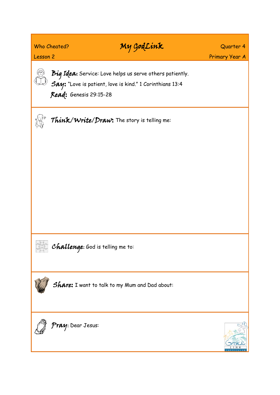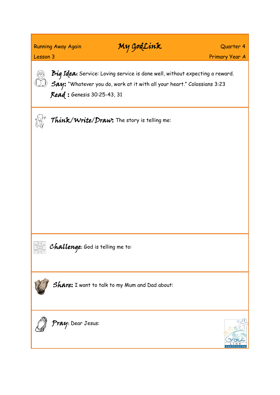### Running Away Again **My GodLink** Quarter 4

دني صدر<br>وفي صحيح

Lesson 3 Primary Year A

Big Idea: Service: Loving service is done well, without expecting a reward.  $\Box$   ${\mathcal{S}}$ ay: "Whatever you do, work at it with all your heart." Colossians 3:23 Read : Genesis 30:25-43, 31



Think/Write/Draw: The story is telling me:

 $\mathcal{C}_{\mathrm{max}}^{\mathrm{Rgca}}$  Challenge: God is telling me to:





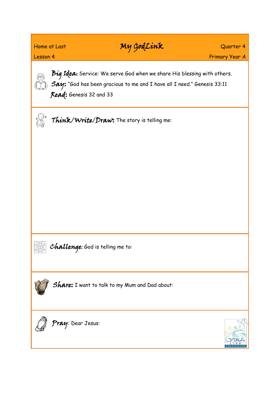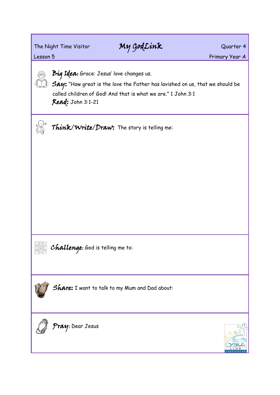# The Night Time Visitor My GodLink Quarter 4

Lesson 5 Primary Year A



Big Idea: Grace: Jesus' love changes us.

 $\Diamond$   $\bm{\mathcal{S}\mathcal{A}\mathcal{Y}}$ : "How great is the love the Father has lavished on us, that we should be called children of God! And that is what we are." 1 John 3:1 Read: John 3:1-21



Think/Write/Draw: The story is telling me:







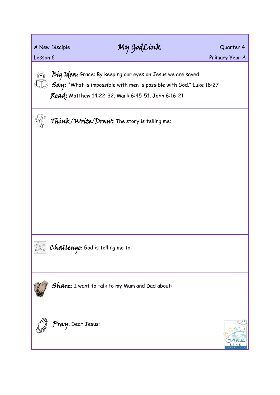### A New Disciple **My GodLink** Quarter 4

Lesson 6 **Primary Year A** 

Big Idea: Grace: By keeping our eyes on Jesus we are saved.  $\Diamond$   $\beta$ ay: "What is impossible with men is possible with God." Luke 18:27 Read: Matthew 14:22-32, Mark 6:45-51, John 6:16-21

Think/Write/Draw: The story is telling me:

a<sub>ngstal</sub> Challenge: God is telling me to:





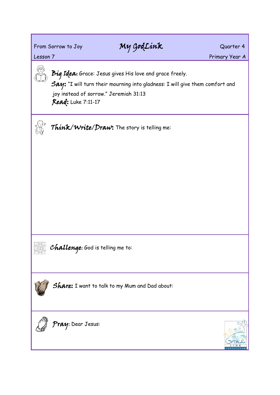### From Sorrow to Joy **My GodLink** Quarter 4

Lesson 7 Primary Year A

Big Idea: Grace: Jesus gives His love and grace freely.

Say: "I will turn their mourning into gladness: I will give them comfort and joy instead of sorrow." Jeremiah 31:13 Read: Luke 7:11-17

Think/Write/Draw: The story is telling me:

 $\frac{C_{\rm GCD}^{\rm PGLO}}{C_{\rm GCD}^{\rm PGLO}}$  Challenge: God is telling me to:





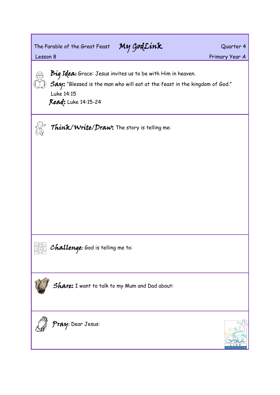The Parable of the Great Feast My GodLink Quarter 4

Lesson 8 Primary Year A



Big Idea: Grace: Jesus invites us to be with Him in heaven.

 $\hat{y}$   $\hat{S}$ ay: "Blessed is the man who will eat at the feast in the kingdom of God." Luke 14:15

Read: Luke 14:15-24

Think/Write/Draw: The story is telling me:

area **Challenge:** God is telling me to:





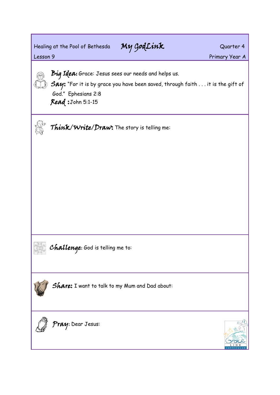Healing at the Pool of Bethesda My GodLink Guarter 4

Lesson 9 **Primary Year A** 

Big Idea: Grace: Jesus sees our needs and helps us.

 $\hat{y}$   $\hat{S}$ ay: "For it is by grace you have been saved, through faith  $\dots$  it is the gift of God." Ephesians 2:8

Read :John 5:1-15

Think/Write/Draw: The story is telling me:

a<sub>ngsta</sub> C**hallenge:** God is telling me to:





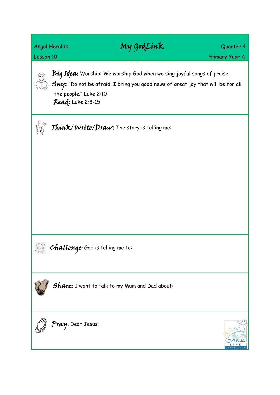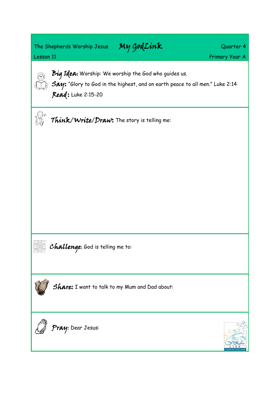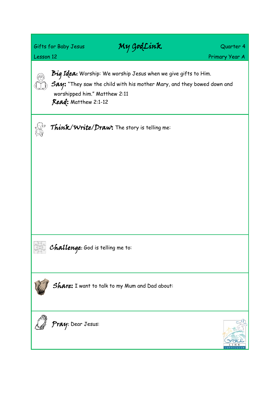